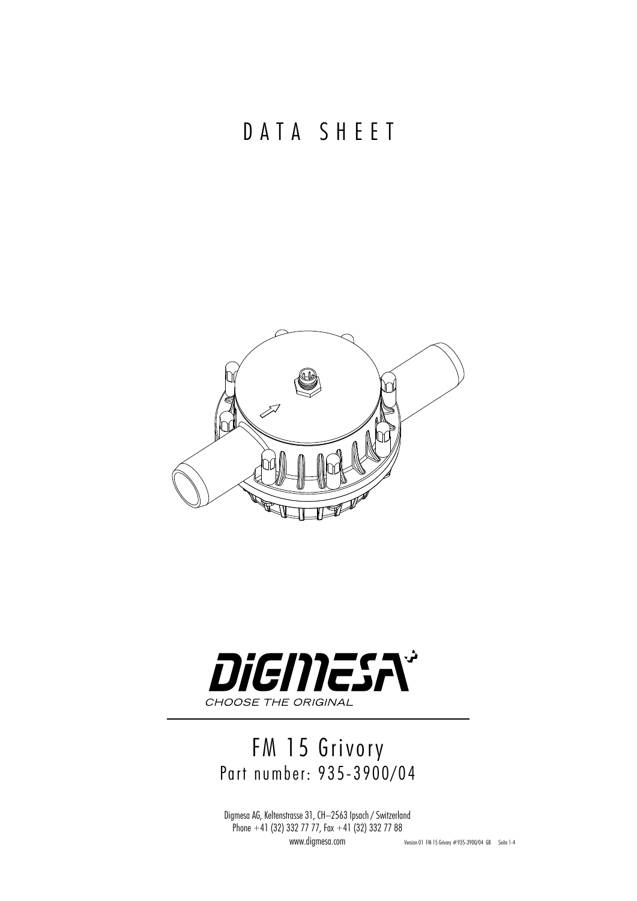## DATA SHEET





## FM 15 Grivory Part number: 935-3900/04

Digmesa AG, Keltenstrasse 31, CH–2563 Ipsach / Switzerland Phone  $+41$  (32) 332 77 77, Fax  $+41$  (32) 332 77 88

www.digmesa.com Version 01 FM 15 Grivory #935-3900/04 GB Seite 1-4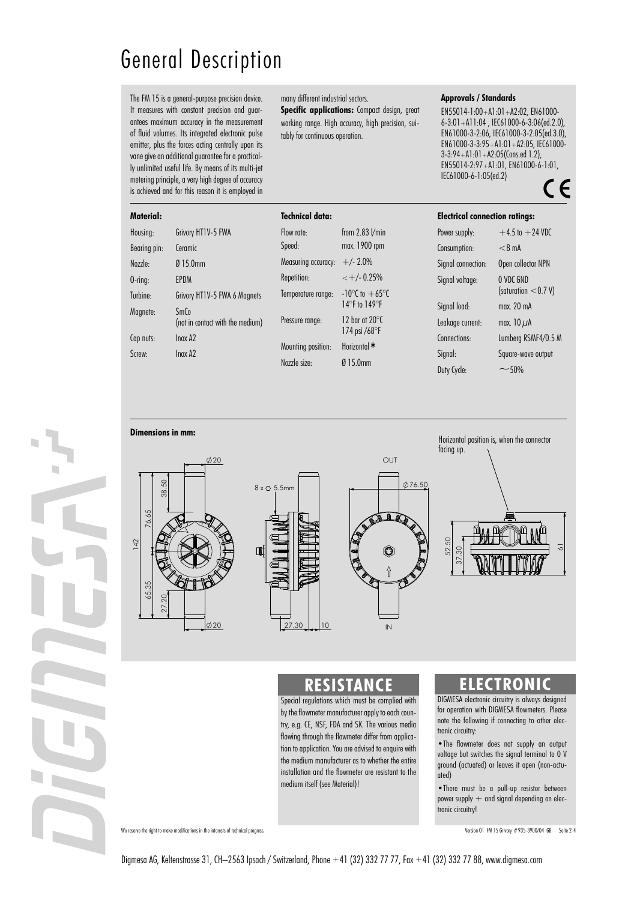# General Description

The FM 15 is a general-purpose precision device. It measures with constant precision and guarantees maximum accuracy in the measurement of fluid volumes. Its integrated electronic pulse emitter, plus the forces acting centrally upon its vane give an additional guarantee for a practically unlimited useful life. By means of its multi-jet metering principle, a very high degree of accuracy is achieved and for this reason it is employed in

#### **Ma**

many different industrial sectors.

**Specific applications:** Compact design, great working range. High accuracy, high precision, suitably for continuous operation.

### **Approvals / Standards**

EN55014-1:00+A1:01+A2:02, EN61000- 6-3:01+A11:04 , IEC61000-6-3:06(ed.2.0), EN61000-3-2:06, IEC61000-3-2:05(ed.3.0), EN61000-3-3:95+A1:01+A2:05, IEC61000- 3-3:94+A1:01+A2:05(Cons.ed 1.2), EN55014-2:97+A1:01, EN61000-6-1:01, IEC61000-6-1:05(ed.2) CE

| <b>Material:</b> |                                  | <b>Technical data:</b>                                |                                                                                   |                    | <b>Electrical connection ratings:</b> |  |
|------------------|----------------------------------|-------------------------------------------------------|-----------------------------------------------------------------------------------|--------------------|---------------------------------------|--|
| Housing:         | Grivory HT1V-5 FWA               | Flow rate:                                            | from $2.83$ $V$ min                                                               | Power supply:      | $+4.5$ to $+24$ VDC                   |  |
| Bearing pin:     | Ceramic                          | Speed:                                                | max. 1900 rpm                                                                     | Consumption:       | $< 8$ mA                              |  |
| Nozzle:          | $Ø$ 15.0mm                       | Measuring accuracy:                                   | $+/- 2.0\%$                                                                       | Signal connection: | Open collector NPN                    |  |
| $0$ -ring:       | EPDM                             | Repetition:                                           | $\lt$ +/- 0.25%                                                                   | Signal voltage:    | O VDC GND<br>(saturation $<$ 0.7 V)   |  |
| Turbine:         | Grivory HT1V-5 FWA 6 Magnets     | Temperature range:                                    | $-10^{\circ}$ C to $+65^{\circ}$ C<br>14°F to 149°F                               |                    |                                       |  |
| Magnete:         | SmCo                             | Pressure range:<br>Mounting position:<br>Nozzle size: |                                                                                   | Signal load:       | max. 20 mA                            |  |
|                  | (not in contact with the medium) |                                                       | 12 bar at 20 $\degree$ C<br>174 psi /68 $\degree$ F<br>Horizontal *<br>$Ø$ 15.0mm | Leakage current:   | max. $10 \mu A$                       |  |
| Cap nuts:        | Inox A <sub>2</sub>              |                                                       |                                                                                   | Connections:       | Lumberg RSMF4/0.5 M                   |  |
| Screw:           | $ln$ ox A $2$                    |                                                       |                                                                                   | Signal:            | Square-wave output                    |  |
|                  |                                  |                                                       |                                                                                   | Duty Cycle:        | $~1.60\%$                             |  |

#### **Dimensions in mm:**











### **RESISTANCE**

Special regulations which must be complied with by the flowmeter manufacturer apply to each country, e.g. CE, NSF, FDA and SK. The various media flowing through the flowmeter differ from application to application. You are advised to enquire with the medium manufacturer as to whether the entire installation and the flowmeter are resistant to the medium itself (see Material)!

### **ELECTRONIC**

DIGMESA electronic circuitry is always designed for operation with DIGMESA flowmeters. Please note the following if connecting to other electronic circuitry:

•The flowmeter does not supply an output voltage but switches the signal terminal to 0 V ground (actuated) or leaves it open (non-actuated)

•There must be a pull-up resistor between power supply  $+$  and signal depending on electronic circuitry!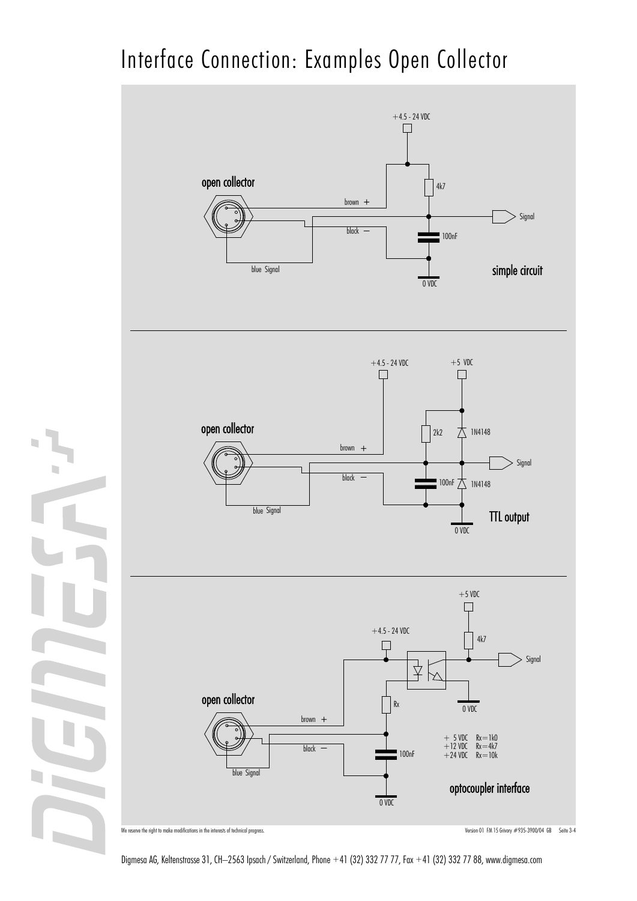# Interface Connection: Examples Open Collector



n

Digmesa AG, Keltenstrasse 31, CH–2563 Ipsach / Switzerland, Phone +41 (32) 332 77 77, Fax +41 (32) 332 77 88, www.digmesa.com